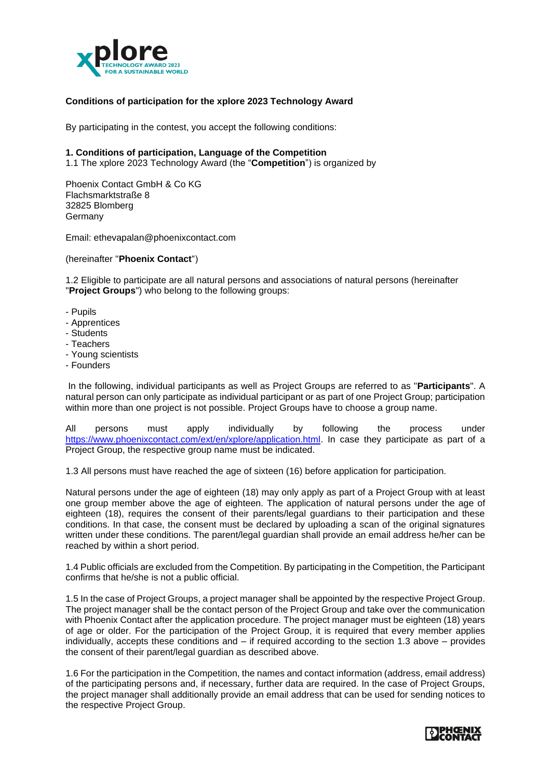

# **Conditions of participation for the xplore 2023 Technology Award**

By participating in the contest, you accept the following conditions:

#### **1. Conditions of participation, Language of the Competition**

1.1 The xplore 2023 Technology Award (the "**Competition**") is organized by

Phoenix Contact GmbH & Co KG Flachsmarktstraße 8 32825 Blomberg **Germany** 

Email: ethevapalan@phoenixcontact.com

(hereinafter "**Phoenix Contact**")

1.2 Eligible to participate are all natural persons and associations of natural persons (hereinafter "**Project Groups**") who belong to the following groups:

- Pupils
- Apprentices
- Students
- Teachers
- Young scientists
- Founders

In the following, individual participants as well as Project Groups are referred to as "**Participants**". A natural person can only participate as individual participant or as part of one Project Group; participation within more than one project is not possible. Project Groups have to choose a group name.

All persons must apply individually by following the process under [https://www.phoenixcontact.com/ext/en/xplore/application.html.](https://www.phoenixcontact.com/ext/en/xplore/application.html) In case they participate as part of a Project Group, the respective group name must be indicated.

1.3 All persons must have reached the age of sixteen (16) before application for participation.

Natural persons under the age of eighteen (18) may only apply as part of a Project Group with at least one group member above the age of eighteen. The application of natural persons under the age of eighteen (18), requires the consent of their parents/legal guardians to their participation and these conditions. In that case, the consent must be declared by uploading a scan of the original signatures written under these conditions. The parent/legal guardian shall provide an email address he/her can be reached by within a short period.

1.4 Public officials are excluded from the Competition. By participating in the Competition, the Participant confirms that he/she is not a public official.

1.5 In the case of Project Groups, a project manager shall be appointed by the respective Project Group. The project manager shall be the contact person of the Project Group and take over the communication with Phoenix Contact after the application procedure. The project manager must be eighteen (18) years of age or older. For the participation of the Project Group, it is required that every member applies individually, accepts these conditions and – if required according to the section 1.3 above – provides the consent of their parent/legal guardian as described above.

1.6 For the participation in the Competition, the names and contact information (address, email address) of the participating persons and, if necessary, further data are required. In the case of Project Groups, the project manager shall additionally provide an email address that can be used for sending notices to the respective Project Group.

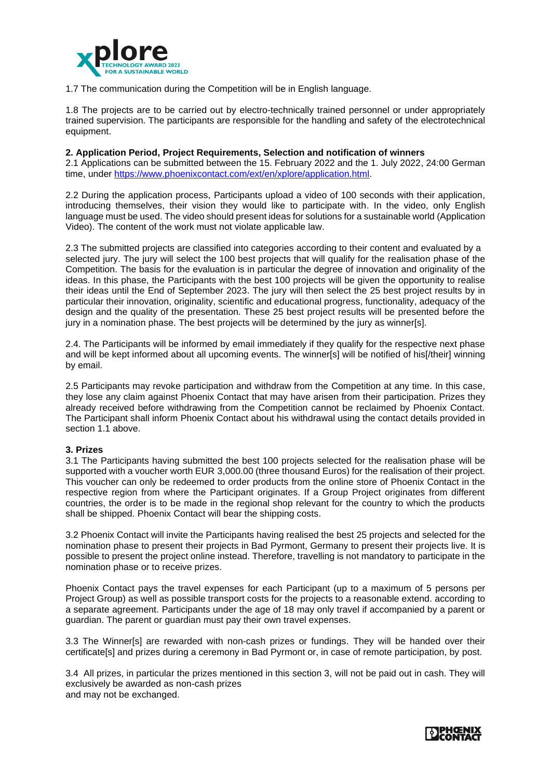

1.7 The communication during the Competition will be in English language.

1.8 The projects are to be carried out by electro-technically trained personnel or under appropriately trained supervision. The participants are responsible for the handling and safety of the electrotechnical equipment.

### **2. Application Period, Project Requirements, Selection and notification of winners**

2.1 Applications can be submitted between the 15. February 2022 and the 1. July 2022, 24:00 German time, under [https://www.phoenixcontact.com/ext/en/xplore/application.html.](https://www.phoenixcontact.com/ext/en/xplore/application.html)

2.2 During the application process, Participants upload a video of 100 seconds with their application, introducing themselves, their vision they would like to participate with. In the video, only English language must be used. The video should present ideas for solutions for a sustainable world (Application Video). The content of the work must not violate applicable law.

2.3 The submitted projects are classified into categories according to their content and evaluated by a selected jury. The jury will select the 100 best projects that will qualify for the realisation phase of the Competition. The basis for the evaluation is in particular the degree of innovation and originality of the ideas. In this phase, the Participants with the best 100 projects will be given the opportunity to realise their ideas until the End of September 2023. The jury will then select the 25 best project results by in particular their innovation, originality, scientific and educational progress, functionality, adequacy of the design and the quality of the presentation. These 25 best project results will be presented before the jury in a nomination phase. The best projects will be determined by the jury as winner[s].

2.4. The Participants will be informed by email immediately if they qualify for the respective next phase and will be kept informed about all upcoming events. The winner[s] will be notified of his[/their] winning by email.

2.5 Participants may revoke participation and withdraw from the Competition at any time. In this case, they lose any claim against Phoenix Contact that may have arisen from their participation. Prizes they already received before withdrawing from the Competition cannot be reclaimed by Phoenix Contact. The Participant shall inform Phoenix Contact about his withdrawal using the contact details provided in section 1.1 above.

## **3. Prizes**

3.1 The Participants having submitted the best 100 projects selected for the realisation phase will be supported with a voucher worth EUR 3,000.00 (three thousand Euros) for the realisation of their project. This voucher can only be redeemed to order products from the online store of Phoenix Contact in the respective region from where the Participant originates. If a Group Project originates from different countries, the order is to be made in the regional shop relevant for the country to which the products shall be shipped. Phoenix Contact will bear the shipping costs.

3.2 Phoenix Contact will invite the Participants having realised the best 25 projects and selected for the nomination phase to present their projects in Bad Pyrmont, Germany to present their projects live. It is possible to present the project online instead. Therefore, travelling is not mandatory to participate in the nomination phase or to receive prizes.

Phoenix Contact pays the travel expenses for each Participant (up to a maximum of 5 persons per Project Group) as well as possible transport costs for the projects to a reasonable extend. according to a separate agreement. Participants under the age of 18 may only travel if accompanied by a parent or guardian. The parent or guardian must pay their own travel expenses.

3.3 The Winner[s] are rewarded with non-cash prizes or fundings. They will be handed over their certificate[s] and prizes during a ceremony in Bad Pyrmont or, in case of remote participation, by post.

3.4 All prizes, in particular the prizes mentioned in this section 3, will not be paid out in cash. They will exclusively be awarded as non-cash prizes and may not be exchanged.

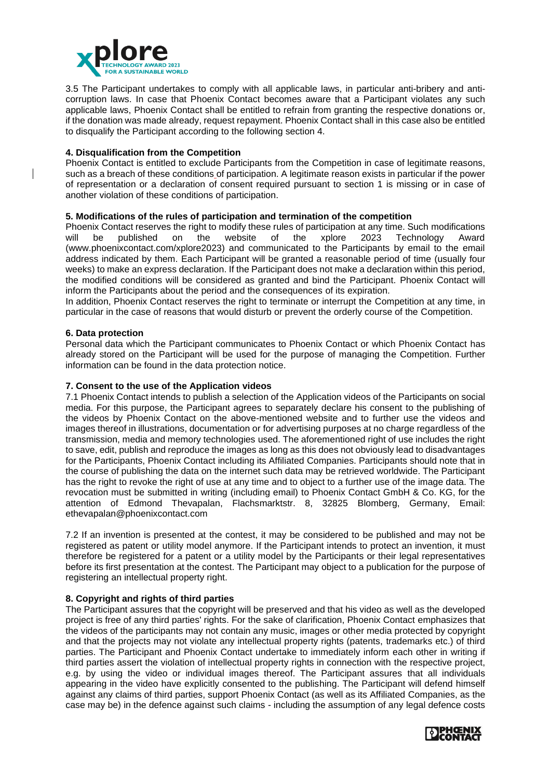

3.5 The Participant undertakes to comply with all applicable laws, in particular anti-bribery and anticorruption laws. In case that Phoenix Contact becomes aware that a Participant violates any such applicable laws, Phoenix Contact shall be entitled to refrain from granting the respective donations or, if the donation was made already, request repayment. Phoenix Contact shall in this case also be entitled to disqualify the Participant according to the following section 4.

# **4. Disqualification from the Competition**

Phoenix Contact is entitled to exclude Participants from the Competition in case of legitimate reasons, such as a breach of these conditions of participation. A legitimate reason exists in particular if the power of representation or a declaration of consent required pursuant to section 1 is missing or in case of another violation of these conditions of participation.

## **5. Modifications of the rules of participation and termination of the competition**

Phoenix Contact reserves the right to modify these rules of participation at any time. Such modifications will be published on the website of the xplore 2023 Technology Award (www.phoenixcontact.com/xplore2023) and communicated to the Participants by email to the email address indicated by them. Each Participant will be granted a reasonable period of time (usually four weeks) to make an express declaration. If the Participant does not make a declaration within this period, the modified conditions will be considered as granted and bind the Participant. Phoenix Contact will inform the Participants about the period and the consequences of its expiration.

In addition, Phoenix Contact reserves the right to terminate or interrupt the Competition at any time, in particular in the case of reasons that would disturb or prevent the orderly course of the Competition.

### **6. Data protection**

Personal data which the Participant communicates to Phoenix Contact or which Phoenix Contact has already stored on the Participant will be used for the purpose of managing the Competition. Further information can be found in the data protection notice.

#### **7. Consent to the use of the Application videos**

7.1 Phoenix Contact intends to publish a selection of the Application videos of the Participants on social media. For this purpose, the Participant agrees to separately declare his consent to the publishing of the videos by Phoenix Contact on the above-mentioned website and to further use the videos and images thereof in illustrations, documentation or for advertising purposes at no charge regardless of the transmission, media and memory technologies used. The aforementioned right of use includes the right to save, edit, publish and reproduce the images as long as this does not obviously lead to disadvantages for the Participants, Phoenix Contact including its Affiliated Companies. Participants should note that in the course of publishing the data on the internet such data may be retrieved worldwide. The Participant has the right to revoke the right of use at any time and to object to a further use of the image data. The revocation must be submitted in writing (including email) to Phoenix Contact GmbH & Co. KG, for the attention of Edmond Thevapalan, Flachsmarktstr. 8, 32825 Blomberg, Germany, Email: ethevapalan@phoenixcontact.com

7.2 If an invention is presented at the contest, it may be considered to be published and may not be registered as patent or utility model anymore. If the Participant intends to protect an invention, it must therefore be registered for a patent or a utility model by the Participants or their legal representatives before its first presentation at the contest. The Participant may object to a publication for the purpose of registering an intellectual property right.

### **8. Copyright and rights of third parties**

The Participant assures that the copyright will be preserved and that his video as well as the developed project is free of any third parties' rights. For the sake of clarification, Phoenix Contact emphasizes that the videos of the participants may not contain any music, images or other media protected by copyright and that the projects may not violate any intellectual property rights (patents, trademarks etc.) of third parties. The Participant and Phoenix Contact undertake to immediately inform each other in writing if third parties assert the violation of intellectual property rights in connection with the respective project, e.g. by using the video or individual images thereof. The Participant assures that all individuals appearing in the video have explicitly consented to the publishing. The Participant will defend himself against any claims of third parties, support Phoenix Contact (as well as its Affiliated Companies, as the case may be) in the defence against such claims - including the assumption of any legal defence costs